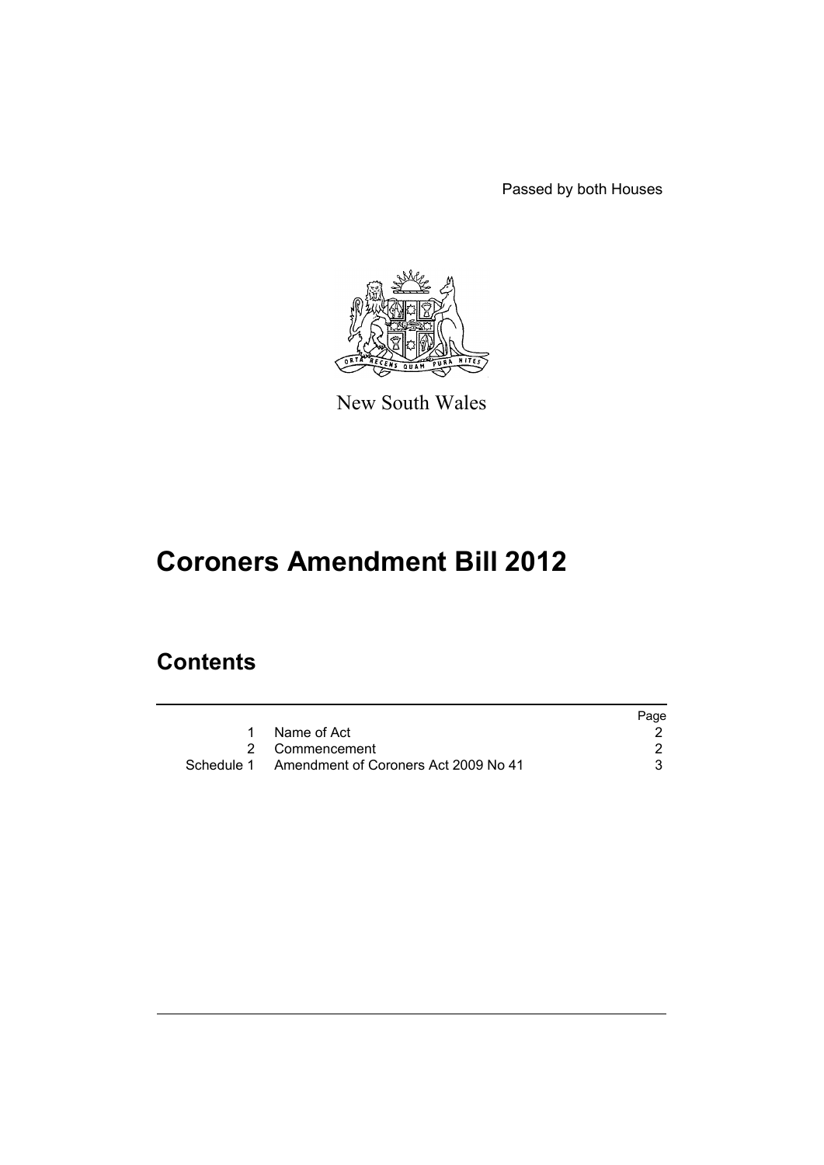Passed by both Houses



New South Wales

# **Coroners Amendment Bill 2012**

## **Contents**

|                                                 | Page |
|-------------------------------------------------|------|
| Name of Act                                     |      |
| 2 Commencement                                  |      |
| Schedule 1 Amendment of Coroners Act 2009 No 41 |      |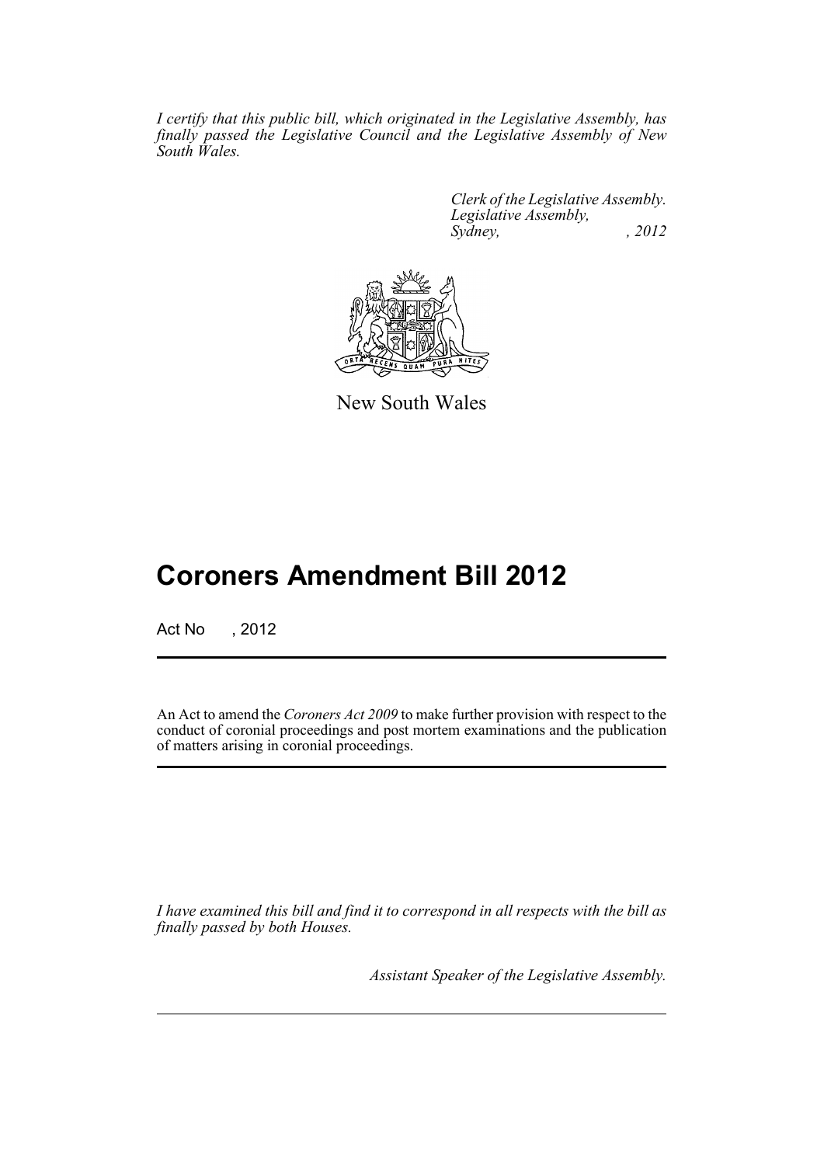*I certify that this public bill, which originated in the Legislative Assembly, has finally passed the Legislative Council and the Legislative Assembly of New South Wales.*

> *Clerk of the Legislative Assembly. Legislative Assembly, Sydney, , 2012*



New South Wales

## **Coroners Amendment Bill 2012**

Act No , 2012

An Act to amend the *Coroners Act 2009* to make further provision with respect to the conduct of coronial proceedings and post mortem examinations and the publication of matters arising in coronial proceedings.

*I have examined this bill and find it to correspond in all respects with the bill as finally passed by both Houses.*

*Assistant Speaker of the Legislative Assembly.*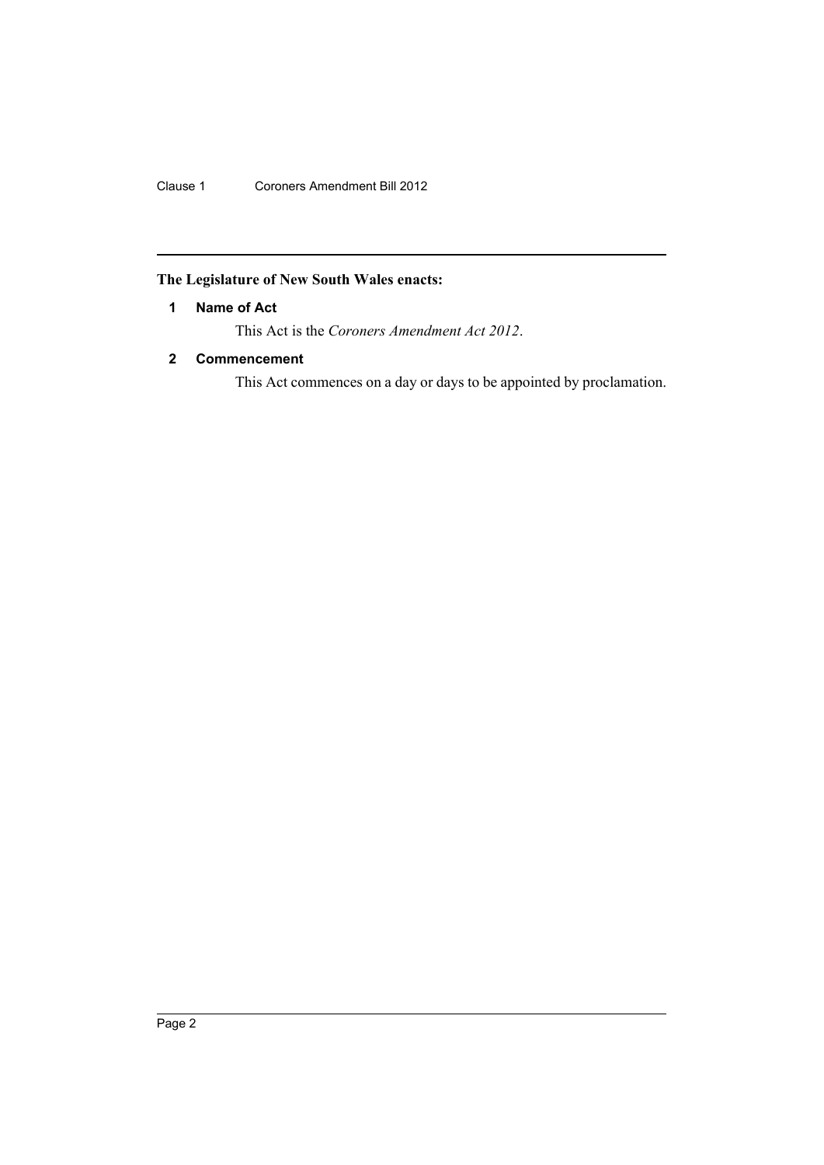Clause 1 Coroners Amendment Bill 2012

## <span id="page-3-0"></span>**The Legislature of New South Wales enacts:**

### **1 Name of Act**

This Act is the *Coroners Amendment Act 2012*.

### <span id="page-3-1"></span>**2 Commencement**

This Act commences on a day or days to be appointed by proclamation.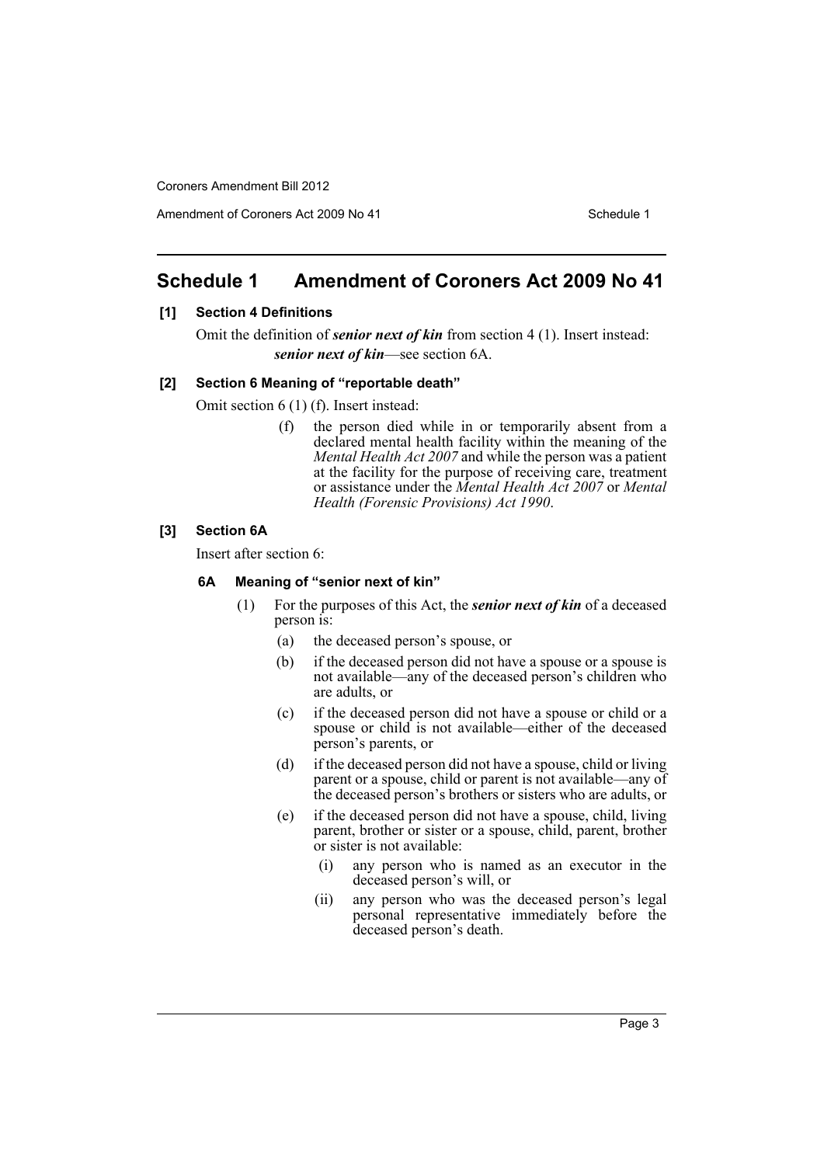Amendment of Coroners Act 2009 No 41 Schedule 1

## <span id="page-4-0"></span>**Schedule 1 Amendment of Coroners Act 2009 No 41**

#### **[1] Section 4 Definitions**

Omit the definition of *senior next of kin* from section 4 (1). Insert instead: *senior next of kin*—see section 6A.

#### **[2] Section 6 Meaning of "reportable death"**

Omit section 6 (1) (f). Insert instead:

(f) the person died while in or temporarily absent from a declared mental health facility within the meaning of the *Mental Health Act 2007* and while the person was a patient at the facility for the purpose of receiving care, treatment or assistance under the *Mental Health Act 2007* or *Mental Health (Forensic Provisions) Act 1990*.

#### **[3] Section 6A**

Insert after section 6:

#### **6A Meaning of "senior next of kin"**

- (1) For the purposes of this Act, the *senior next of kin* of a deceased person is:
	- (a) the deceased person's spouse, or
	- (b) if the deceased person did not have a spouse or a spouse is not available—any of the deceased person's children who are adults, or
	- (c) if the deceased person did not have a spouse or child or a spouse or child is not available—either of the deceased person's parents, or
	- (d) if the deceased person did not have a spouse, child or living parent or a spouse, child or parent is not available—any of the deceased person's brothers or sisters who are adults, or
	- (e) if the deceased person did not have a spouse, child, living parent, brother or sister or a spouse, child, parent, brother or sister is not available:
		- (i) any person who is named as an executor in the deceased person's will, or
		- (ii) any person who was the deceased person's legal personal representative immediately before the deceased person's death.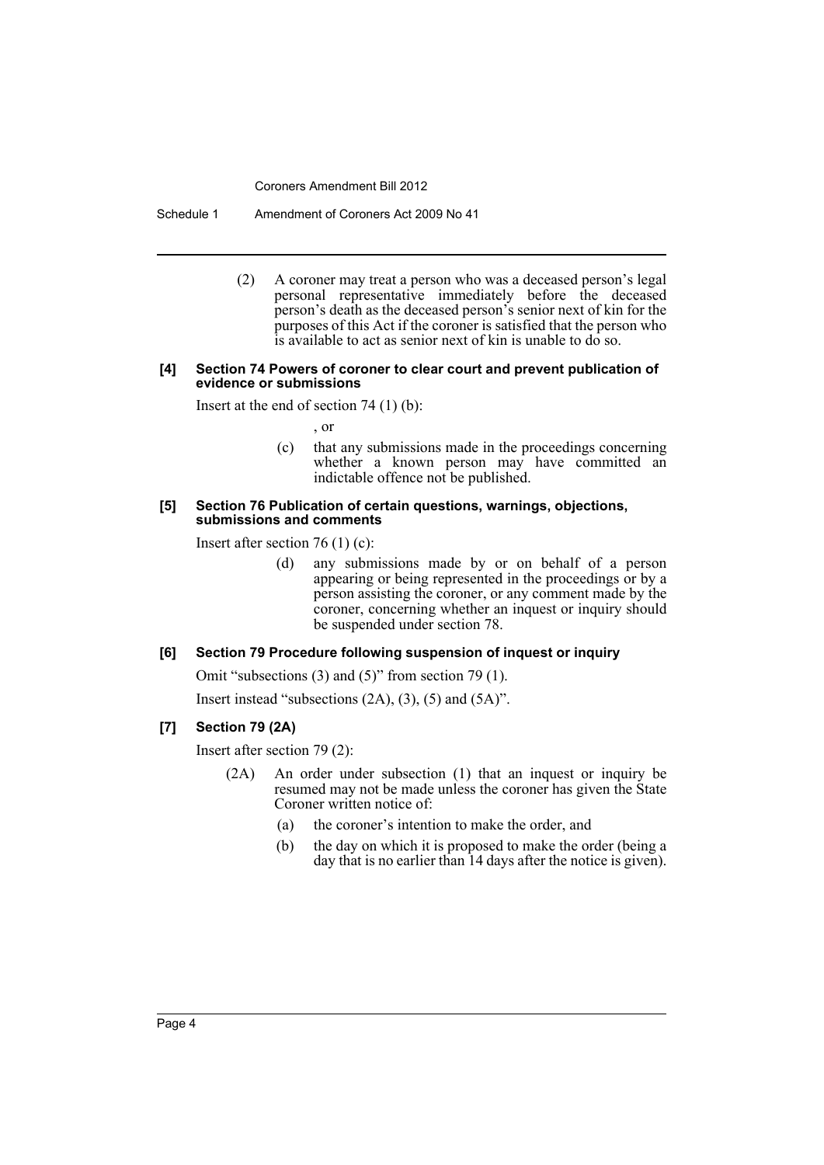Schedule 1 Amendment of Coroners Act 2009 No 41

(2) A coroner may treat a person who was a deceased person's legal personal representative immediately before the deceased person's death as the deceased person's senior next of kin for the purposes of this Act if the coroner is satisfied that the person who is available to act as senior next of kin is unable to do so.

#### **[4] Section 74 Powers of coroner to clear court and prevent publication of evidence or submissions**

Insert at the end of section 74 (1) (b):

, or

(c) that any submissions made in the proceedings concerning whether a known person may have committed an indictable offence not be published.

#### **[5] Section 76 Publication of certain questions, warnings, objections, submissions and comments**

Insert after section 76 (1) (c):

(d) any submissions made by or on behalf of a person appearing or being represented in the proceedings or by a person assisting the coroner, or any comment made by the coroner, concerning whether an inquest or inquiry should be suspended under section 78.

#### **[6] Section 79 Procedure following suspension of inquest or inquiry**

Omit "subsections (3) and (5)" from section 79 (1).

Insert instead "subsections  $(2A)$ ,  $(3)$ ,  $(5)$  and  $(5A)$ ".

#### **[7] Section 79 (2A)**

Insert after section 79 (2):

- (2A) An order under subsection (1) that an inquest or inquiry be resumed may not be made unless the coroner has given the State Coroner written notice of:
	- (a) the coroner's intention to make the order, and
	- (b) the day on which it is proposed to make the order (being a day that is no earlier than 14 days after the notice is given).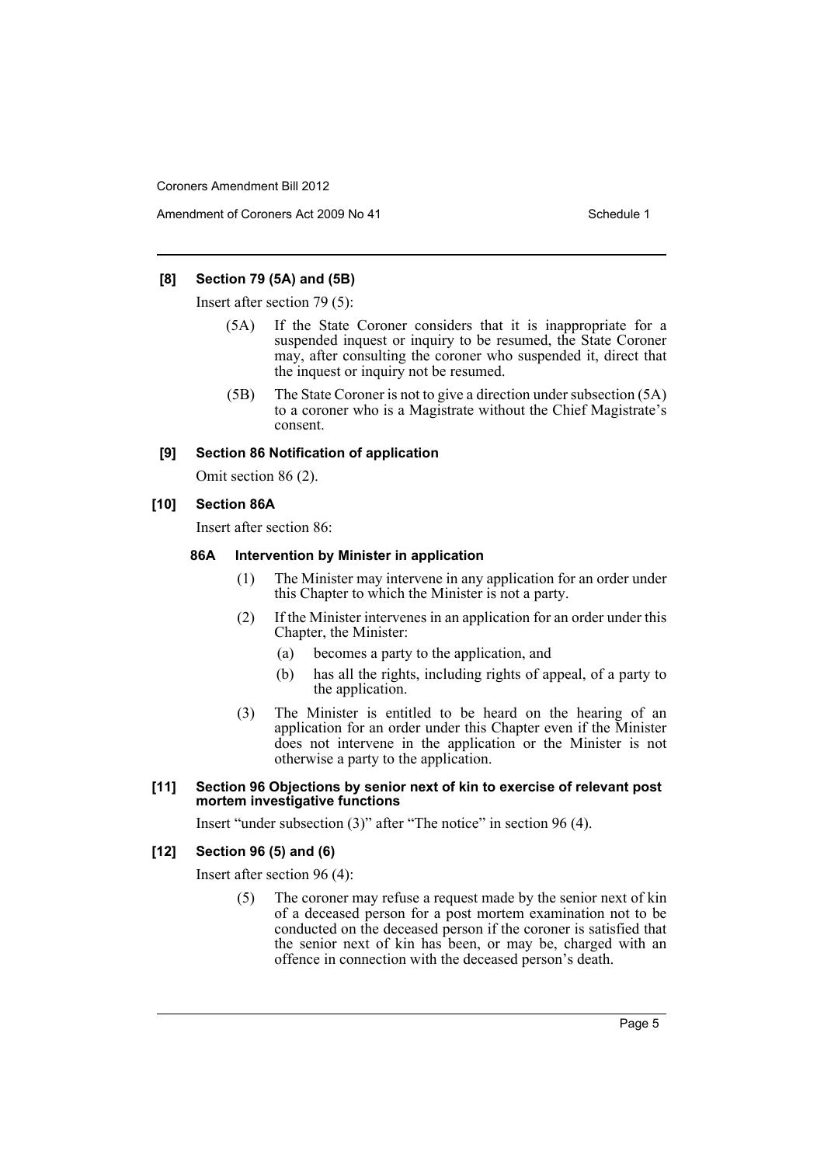#### **[8] Section 79 (5A) and (5B)**

Insert after section 79 (5):

- (5A) If the State Coroner considers that it is inappropriate for a suspended inquest or inquiry to be resumed, the State Coroner may, after consulting the coroner who suspended it, direct that the inquest or inquiry not be resumed.
- (5B) The State Coroner is not to give a direction under subsection (5A) to a coroner who is a Magistrate without the Chief Magistrate's consent.

#### **[9] Section 86 Notification of application**

Omit section 86 (2).

#### **[10] Section 86A**

Insert after section 86:

#### **86A Intervention by Minister in application**

- (1) The Minister may intervene in any application for an order under this Chapter to which the Minister is not a party.
- (2) If the Minister intervenes in an application for an order under this Chapter, the Minister:
	- (a) becomes a party to the application, and
	- (b) has all the rights, including rights of appeal, of a party to the application.
- (3) The Minister is entitled to be heard on the hearing of an application for an order under this Chapter even if the Minister does not intervene in the application or the Minister is not otherwise a party to the application.

#### **[11] Section 96 Objections by senior next of kin to exercise of relevant post mortem investigative functions**

Insert "under subsection (3)" after "The notice" in section 96 (4).

#### **[12] Section 96 (5) and (6)**

Insert after section 96 (4):

(5) The coroner may refuse a request made by the senior next of kin of a deceased person for a post mortem examination not to be conducted on the deceased person if the coroner is satisfied that the senior next of kin has been, or may be, charged with an offence in connection with the deceased person's death.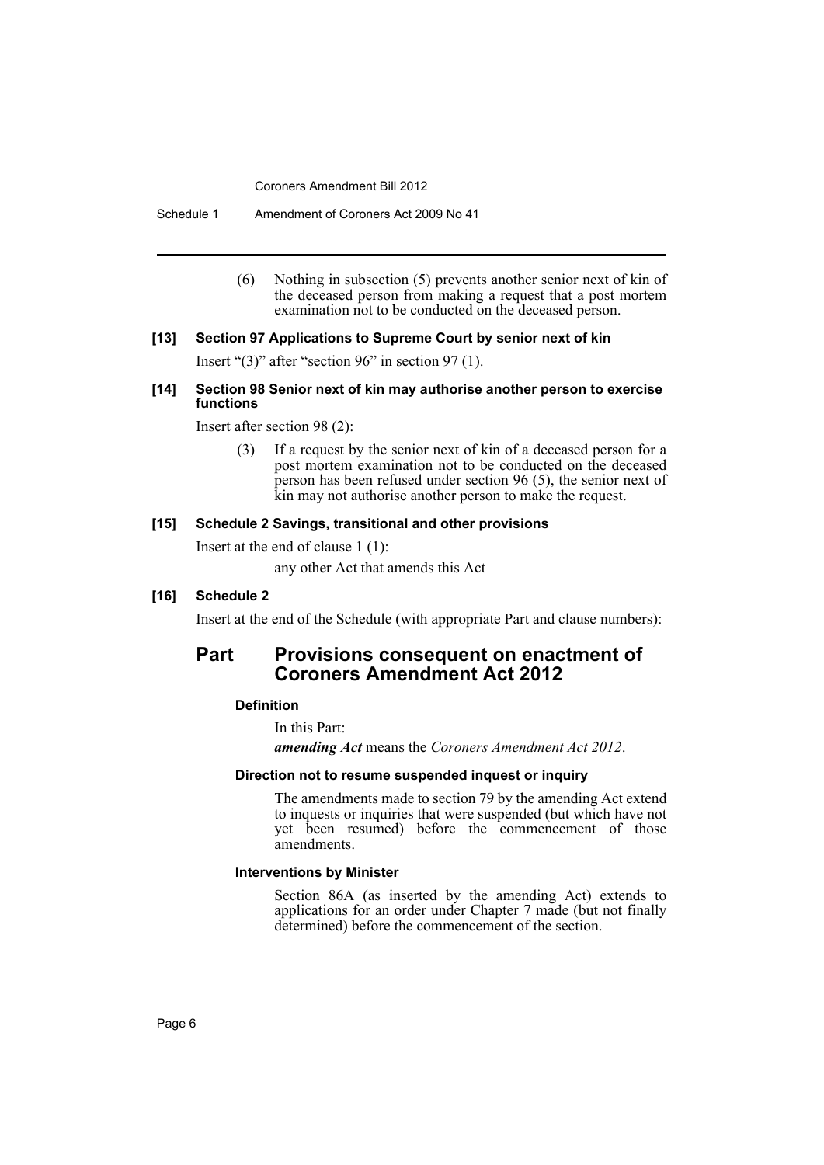Schedule 1 Amendment of Coroners Act 2009 No 41

(6) Nothing in subsection (5) prevents another senior next of kin of the deceased person from making a request that a post mortem examination not to be conducted on the deceased person.

#### **[13] Section 97 Applications to Supreme Court by senior next of kin**

Insert "(3)" after "section 96" in section 97 (1).

#### **[14] Section 98 Senior next of kin may authorise another person to exercise functions**

Insert after section 98 (2):

(3) If a request by the senior next of kin of a deceased person for a post mortem examination not to be conducted on the deceased person has been refused under section 96 (5), the senior next of kin may not authorise another person to make the request.

#### **[15] Schedule 2 Savings, transitional and other provisions**

Insert at the end of clause 1 (1):

any other Act that amends this Act

#### **[16] Schedule 2**

Insert at the end of the Schedule (with appropriate Part and clause numbers):

## **Part Provisions consequent on enactment of Coroners Amendment Act 2012**

#### **Definition**

In this Part:

*amending Act* means the *Coroners Amendment Act 2012*.

#### **Direction not to resume suspended inquest or inquiry**

The amendments made to section 79 by the amending Act extend to inquests or inquiries that were suspended (but which have not yet been resumed) before the commencement of those amendments.

#### **Interventions by Minister**

Section 86A (as inserted by the amending Act) extends to applications for an order under Chapter 7 made (but not finally determined) before the commencement of the section.